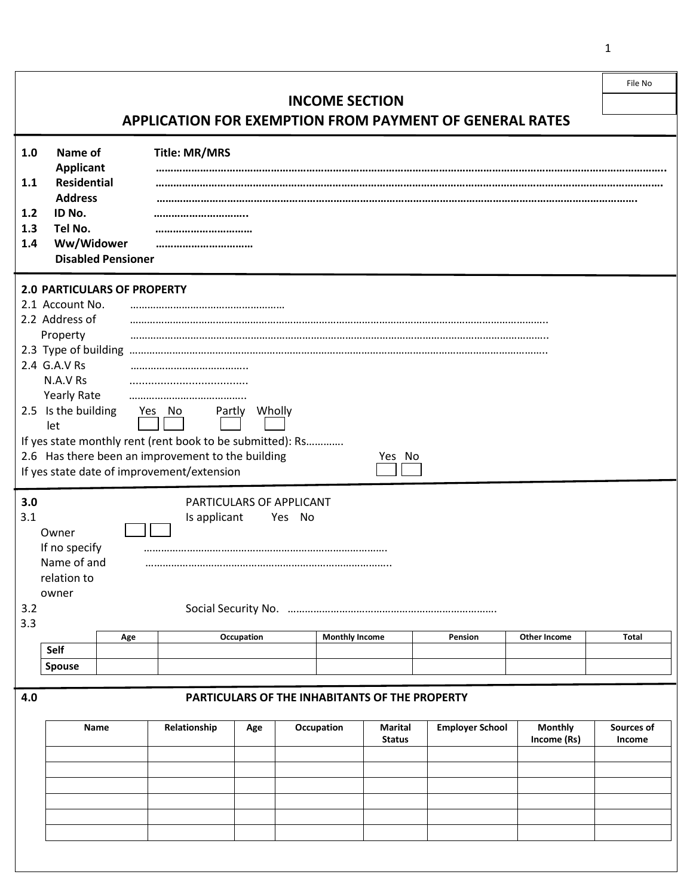|                                                                                                                                   |                                                                                                                                                                     |                                                                                                                                                                                      |                       |                         | File No |  |  |  |
|-----------------------------------------------------------------------------------------------------------------------------------|---------------------------------------------------------------------------------------------------------------------------------------------------------------------|--------------------------------------------------------------------------------------------------------------------------------------------------------------------------------------|-----------------------|-------------------------|---------|--|--|--|
| <b>INCOME SECTION</b>                                                                                                             |                                                                                                                                                                     |                                                                                                                                                                                      |                       |                         |         |  |  |  |
|                                                                                                                                   | <b>APPLICATION FOR EXEMPTION FROM PAYMENT OF GENERAL RATES</b>                                                                                                      |                                                                                                                                                                                      |                       |                         |         |  |  |  |
| 1.0<br>1.1<br>1.2<br>1.3                                                                                                          | Name of<br><b>Applicant</b><br><b>Residential</b><br><b>Address</b><br>ID No.<br>Tel No.                                                                            | <b>Title: MR/MRS</b>                                                                                                                                                                 |                       |                         |         |  |  |  |
|                                                                                                                                   | Ww/Widower<br>1.4<br>                                                                                                                                               |                                                                                                                                                                                      |                       |                         |         |  |  |  |
|                                                                                                                                   | <b>Disabled Pensioner</b>                                                                                                                                           |                                                                                                                                                                                      |                       |                         |         |  |  |  |
|                                                                                                                                   | <b>2.0 PARTICULARS OF PROPERTY</b><br>2.1 Account No.<br>2.2 Address of<br>Property<br>2.4 G.A.V Rs<br>N.A.V Rs<br><b>Yearly Rate</b><br>2.5 Is the building<br>let | <br>Yes No<br>Partly<br>If yes state monthly rent (rent book to be submitted): Rs<br>2.6 Has there been an improvement to the building<br>If yes state date of improvement/extension | Wholly<br>Yes No      |                         |         |  |  |  |
| 3.0<br>PARTICULARS OF APPLICANT<br>3.1<br>Is applicant<br>Yes No<br>Owner<br>If no specify<br>Name of and<br>relation to<br>owner |                                                                                                                                                                     |                                                                                                                                                                                      |                       |                         |         |  |  |  |
| 3.2                                                                                                                               |                                                                                                                                                                     |                                                                                                                                                                                      |                       |                         |         |  |  |  |
| 3.3                                                                                                                               |                                                                                                                                                                     |                                                                                                                                                                                      |                       |                         |         |  |  |  |
|                                                                                                                                   | Age<br>Self                                                                                                                                                         | Occupation                                                                                                                                                                           | <b>Monthly Income</b> | Pension<br>Other Income | Total   |  |  |  |
|                                                                                                                                   | <b>Spouse</b>                                                                                                                                                       |                                                                                                                                                                                      |                       |                         |         |  |  |  |
|                                                                                                                                   |                                                                                                                                                                     |                                                                                                                                                                                      |                       |                         |         |  |  |  |

## **4.0 PARTICULARS OF THE INHABITANTS OF THE PROPERTY**

| Name | Relationship | Age | Occupation | Marital<br><b>Status</b> | <b>Employer School</b> | <b>Monthly</b><br>Income (Rs) | Sources of<br>Income |
|------|--------------|-----|------------|--------------------------|------------------------|-------------------------------|----------------------|
|      |              |     |            |                          |                        |                               |                      |
|      |              |     |            |                          |                        |                               |                      |
|      |              |     |            |                          |                        |                               |                      |
|      |              |     |            |                          |                        |                               |                      |
|      |              |     |            |                          |                        |                               |                      |
|      |              |     |            |                          |                        |                               |                      |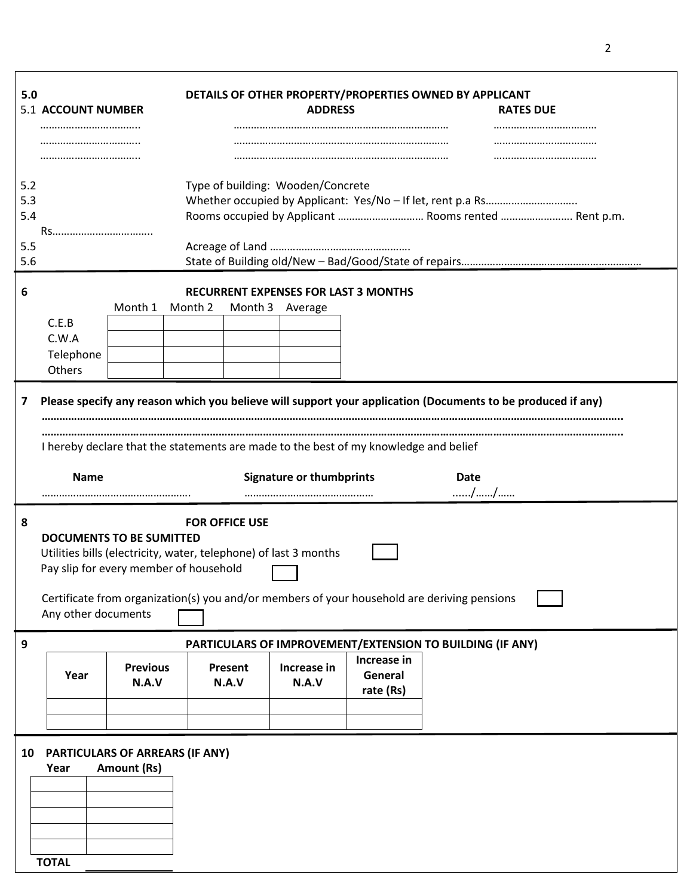| 5.0<br>5.1 ACCOUNT NUMBER<br> |                                                                                                                                                                                                                                                                                              |                          | DETAILS OF OTHER PROPERTY/PROPERTIES OWNED BY APPLICANT<br><b>ADDRESS</b> |                  |                                                                                           |                                             | <b>RATES DUE</b> |  |  |
|-------------------------------|----------------------------------------------------------------------------------------------------------------------------------------------------------------------------------------------------------------------------------------------------------------------------------------------|--------------------------|---------------------------------------------------------------------------|------------------|-------------------------------------------------------------------------------------------|---------------------------------------------|------------------|--|--|
|                               |                                                                                                                                                                                                                                                                                              |                          |                                                                           |                  |                                                                                           |                                             |                  |  |  |
| 5.2<br>5.3<br>5.4             | Rs                                                                                                                                                                                                                                                                                           |                          |                                                                           |                  | Type of building: Wooden/Concrete<br>Rooms occupied by Applicant  Rooms rented  Rent p.m. |                                             |                  |  |  |
| 5.5<br>5.6                    |                                                                                                                                                                                                                                                                                              |                          |                                                                           |                  |                                                                                           |                                             |                  |  |  |
| 6                             | C.E.B<br>C.W.A<br>Telephone<br>Others                                                                                                                                                                                                                                                        | Month 1                  | Month 2                                                                   | Month 3          | Average                                                                                   | <b>RECURRENT EXPENSES FOR LAST 3 MONTHS</b> |                  |  |  |
| 7                             | Please specify any reason which you believe will support your application (Documents to be produced if any)<br>I hereby declare that the statements are made to the best of my knowledge and belief<br><b>Signature or thumbprints</b><br><b>Name</b><br>Date<br>//                          |                          |                                                                           |                  |                                                                                           |                                             |                  |  |  |
| 8                             | <b>FOR OFFICE USE</b><br><b>DOCUMENTS TO BE SUMITTED</b><br>Utilities bills (electricity, water, telephone) of last 3 months<br>Pay slip for every member of household<br>Certificate from organization(s) you and/or members of your household are deriving pensions<br>Any other documents |                          |                                                                           |                  |                                                                                           |                                             |                  |  |  |
| 9                             | PARTICULARS OF IMPROVEMENT/EXTENSION TO BUILDING (IF ANY)                                                                                                                                                                                                                                    |                          |                                                                           |                  |                                                                                           |                                             |                  |  |  |
|                               | Year                                                                                                                                                                                                                                                                                         | <b>Previous</b><br>N.A.V |                                                                           | Present<br>N.A.V | Increase in<br>N.A.V                                                                      | Increase in<br>General<br>rate (Rs)         |                  |  |  |
| 10                            | PARTICULARS OF ARREARS (IF ANY)<br>Year<br><b>TOTAL</b>                                                                                                                                                                                                                                      | <b>Amount (Rs)</b>       |                                                                           |                  |                                                                                           |                                             |                  |  |  |

2